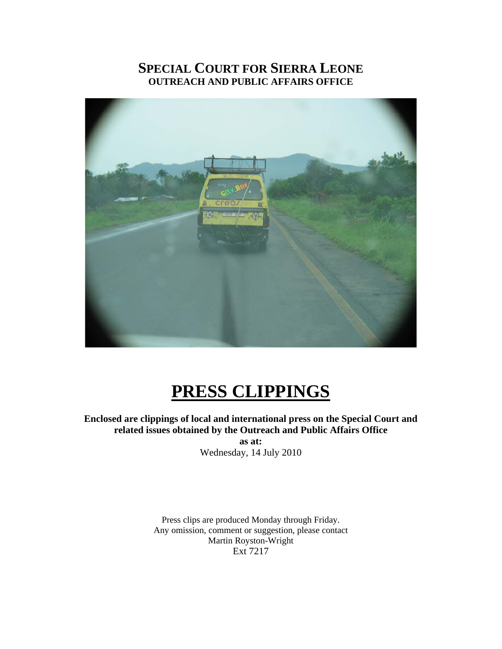## **SPECIAL COURT FOR SIERRA LEONE OUTREACH AND PUBLIC AFFAIRS OFFICE**



# **PRESS CLIPPINGS**

**Enclosed are clippings of local and international press on the Special Court and related issues obtained by the Outreach and Public Affairs Office as at:** 

Wednesday, 14 July 2010

Press clips are produced Monday through Friday. Any omission, comment or suggestion, please contact Martin Royston-Wright Ext 7217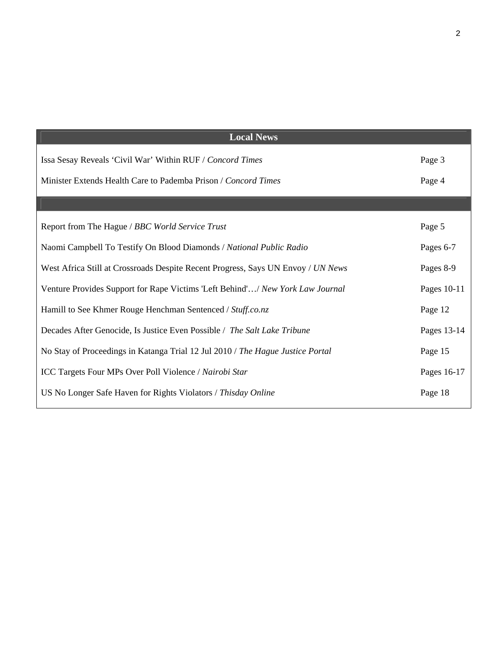| <b>Local News</b>                                                                |             |
|----------------------------------------------------------------------------------|-------------|
| Issa Sesay Reveals 'Civil War' Within RUF / Concord Times                        | Page 3      |
| Minister Extends Health Care to Pademba Prison / Concord Times                   | Page 4      |
|                                                                                  |             |
| Report from The Hague / BBC World Service Trust                                  | Page 5      |
| Naomi Campbell To Testify On Blood Diamonds / National Public Radio              | Pages 6-7   |
| West Africa Still at Crossroads Despite Recent Progress, Says UN Envoy / UN News | Pages 8-9   |
| Venture Provides Support for Rape Victims 'Left Behind'/ New York Law Journal    | Pages 10-11 |
| Hamill to See Khmer Rouge Henchman Sentenced / Stuff.co.nz                       | Page 12     |
| Decades After Genocide, Is Justice Even Possible / The Salt Lake Tribune         | Pages 13-14 |
| No Stay of Proceedings in Katanga Trial 12 Jul 2010 / The Hague Justice Portal   | Page 15     |
| ICC Targets Four MPs Over Poll Violence / Nairobi Star                           | Pages 16-17 |
| US No Longer Safe Haven for Rights Violators / Thisday Online                    | Page 18     |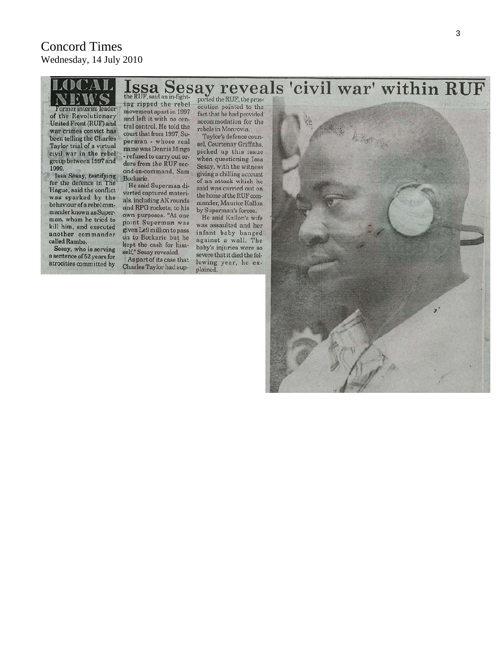#### Issa Sesay reveals 'civil war' within RUF ing ripped the rebel ecution pointed to the Former interim leader movement apart in 1997 fact that he had provided of the Revolutionary RAN Water and left it with no cenaccommodation for the  $\tilde{\mathcal{L}}$ United Front (RUF) and tral control. He told the rebels in Monrovia. war crimes convict has court that from 1997, Su-Taylor's defence counbeen telling the Charles perman - whose real sel, Courtenay Griffiths, Taylor trial of a virtual name was Dennis Mingo picked up this issue civil war in the rebel - refused to carry out orwhen questioning Issa group between 1997 and ders from the RUF sec-Sesay, with the witness 1999. ond-in-command, Sam. giving a chilling account Issa Sesay, testifying<br>for the defence in The Bockarie. of an attack which he He said Superman disaid was carried out on Hague, said the conflict verted captured materithe home of the RUF comwas sparked by the als, including AK rounds mander, Maurice Kallon behaviour of a rebel comand RPG rockets, to his by Superman's forces. mander known as Superown purposes. "At one He said Kallon's wife man, whom he tried to point Superman was was assaulted and her kill him, and executed given Le9 million to pass infant baby banged another commander on to Bockarie but he against a wall. The called Rambo. kept the cash for himbaby's injuries were so Sesay, who is serving self," Sesay revealed. severe that it died the fola sentence of 52 years for As part of its case that lowing year, he exatrocities committed by Charles Taylor had supplained.  $\mathbf{u}$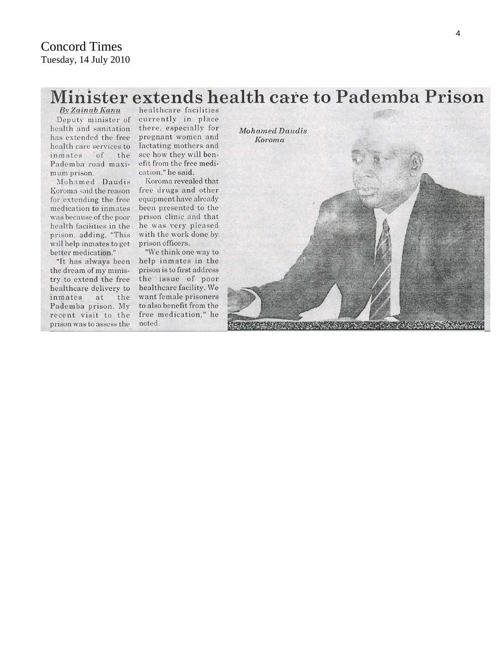# Minister extends health care to Pademba Prison

By Zainab Kanu Deputy minister of health and sanitation has extended the free health care services to inmates of the Pademba road maximum prison.

Mohamed Daudis Koroma said the reason for extending the free medication to inmates was because of the poor health facilities in the prison, adding, "This will help inmates to get better medication."

"It has always been the dream of my ministry to extend the free healthcare delivery to inmates at the Pademba prison. My recent visit to the prison was to assess the

healthcare facilities currently in place there, especially for pregnant women and lactating mothers and see how they will benefit from the free medication," he said.

Koroma revealed that free drugs and other equipment have already been presented to the prison clinic and that he was very pleased with the work done by prison officers. "We think one way to

help inmates in the prison is to first address the issue of poor healthcare facility. We want female prisoners to also benefit from the free medication," he noted.

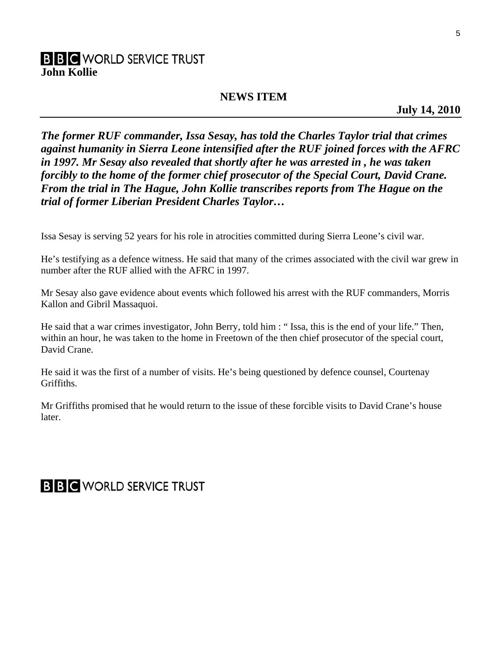### **B B C** WORLD SERVICE TRUST **John Kollie**

### **NEWS ITEM**

**July 14, 2010** 

*The former RUF commander, Issa Sesay, has told the Charles Taylor trial that crimes against humanity in Sierra Leone intensified after the RUF joined forces with the AFRC in 1997. Mr Sesay also revealed that shortly after he was arrested in , he was taken forcibly to the home of the former chief prosecutor of the Special Court, David Crane. From the trial in The Hague, John Kollie transcribes reports from The Hague on the trial of former Liberian President Charles Taylor…* 

Issa Sesay is serving 52 years for his role in atrocities committed during Sierra Leone's civil war.

He's testifying as a defence witness. He said that many of the crimes associated with the civil war grew in number after the RUF allied with the AFRC in 1997.

Mr Sesay also gave evidence about events which followed his arrest with the RUF commanders, Morris Kallon and Gibril Massaquoi.

He said that a war crimes investigator, John Berry, told him : " Issa, this is the end of your life." Then, within an hour, he was taken to the home in Freetown of the then chief prosecutor of the special court, David Crane.

He said it was the first of a number of visits. He's being questioned by defence counsel, Courtenay Griffiths.

Mr Griffiths promised that he would return to the issue of these forcible visits to David Crane's house later.

# **B B C** WORLD SERVICE TRUST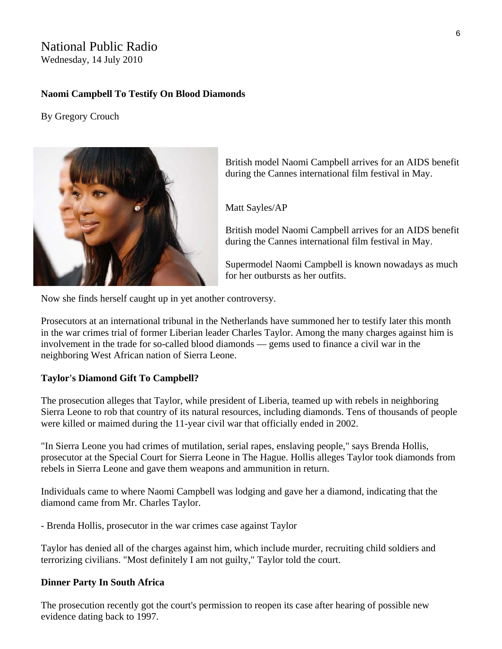### National Public Radio

Wednesday, 14 July 2010

### **Naomi Campbell To Testify On Blood Diamonds**

### By Gregory Crouch



British model Naomi Campbell arrives for an AIDS benefit during the Cannes international film festival in May.

Matt Sayles/AP

British model Naomi Campbell arrives for an AIDS benefit during the Cannes international film festival in May.

Supermodel Naomi Campbell is known nowadays as much for her outbursts as her outfits.

Now she finds herself caught up in yet another controversy.

Prosecutors at an international tribunal in the Netherlands have summoned her to testify later this month in the war crimes trial of former Liberian leader Charles Taylor. Among the many charges against him is involvement in the trade for so-called blood diamonds — gems used to finance a civil war in the neighboring West African nation of Sierra Leone.

#### **Taylor's Diamond Gift To Campbell?**

The prosecution alleges that Taylor, while president of Liberia, teamed up with rebels in neighboring Sierra Leone to rob that country of its natural resources, including diamonds. Tens of thousands of people were killed or maimed during the 11-year civil war that officially ended in 2002.

"In Sierra Leone you had crimes of mutilation, serial rapes, enslaving people," says Brenda Hollis, prosecutor at the Special Court for Sierra Leone in The Hague. Hollis alleges Taylor took diamonds from rebels in Sierra Leone and gave them weapons and ammunition in return.

Individuals came to where Naomi Campbell was lodging and gave her a diamond, indicating that the diamond came from Mr. Charles Taylor.

- Brenda Hollis, prosecutor in the war crimes case against Taylor

Taylor has denied all of the charges against him, which include murder, recruiting child soldiers and terrorizing civilians. "Most definitely I am not guilty," Taylor told the court.

#### **Dinner Party In South Africa**

The prosecution recently got the court's permission to reopen its case after hearing of possible new evidence dating back to 1997.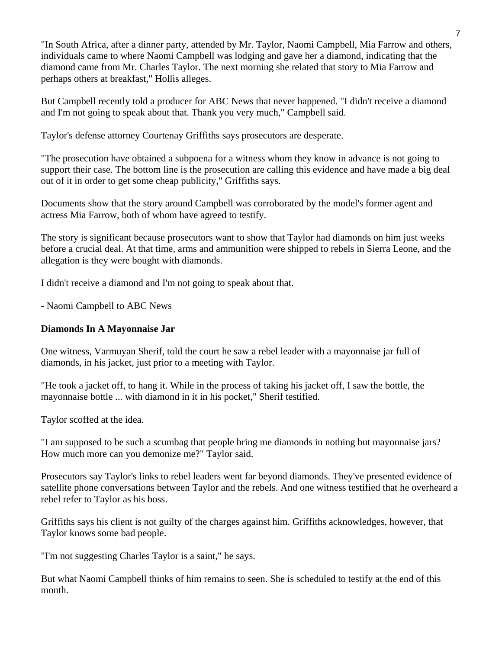"In South Africa, after a dinner party, attended by Mr. Taylor, Naomi Campbell, Mia Farrow and others, individuals came to where Naomi Campbell was lodging and gave her a diamond, indicating that the diamond came from Mr. Charles Taylor. The next morning she related that story to Mia Farrow and perhaps others at breakfast," Hollis alleges.

But Campbell recently told a producer for ABC News that never happened. "I didn't receive a diamond and I'm not going to speak about that. Thank you very much," Campbell said.

Taylor's defense attorney Courtenay Griffiths says prosecutors are desperate.

"The prosecution have obtained a subpoena for a witness whom they know in advance is not going to support their case. The bottom line is the prosecution are calling this evidence and have made a big deal out of it in order to get some cheap publicity," Griffiths says.

Documents show that the story around Campbell was corroborated by the model's former agent and actress Mia Farrow, both of whom have agreed to testify.

The story is significant because prosecutors want to show that Taylor had diamonds on him just weeks before a crucial deal. At that time, arms and ammunition were shipped to rebels in Sierra Leone, and the allegation is they were bought with diamonds.

I didn't receive a diamond and I'm not going to speak about that.

- Naomi Campbell to ABC News

### **Diamonds In A Mayonnaise Jar**

One witness, Varmuyan Sherif, told the court he saw a rebel leader with a mayonnaise jar full of diamonds, in his jacket, just prior to a meeting with Taylor.

"He took a jacket off, to hang it. While in the process of taking his jacket off, I saw the bottle, the mayonnaise bottle ... with diamond in it in his pocket," Sherif testified.

Taylor scoffed at the idea.

"I am supposed to be such a scumbag that people bring me diamonds in nothing but mayonnaise jars? How much more can you demonize me?" Taylor said.

Prosecutors say Taylor's links to rebel leaders went far beyond diamonds. They've presented evidence of satellite phone conversations between Taylor and the rebels. And one witness testified that he overheard a rebel refer to Taylor as his boss.

Griffiths says his client is not guilty of the charges against him. Griffiths acknowledges, however, that Taylor knows some bad people.

"I'm not suggesting Charles Taylor is a saint," he says.

But what Naomi Campbell thinks of him remains to seen. She is scheduled to testify at the end of this month.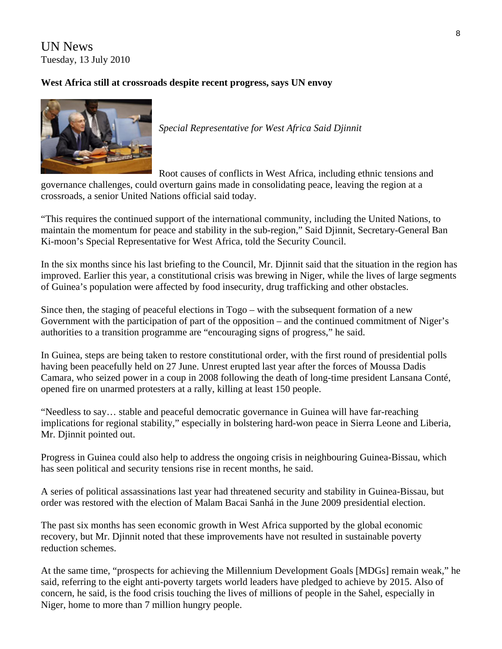UN News Tuesday, 13 July 2010

### **West Africa still at crossroads despite recent progress, says UN envoy**



*Special Representative for West Africa Said Djinnit* 

Root causes of conflicts in West Africa, including ethnic tensions and

governance challenges, could overturn gains made in consolidating peace, leaving the region at a crossroads, a senior United Nations official said today.

"This requires the continued support of the international community, including the United Nations, to maintain the momentum for peace and stability in the sub-region," Said Djinnit, Secretary-General Ban Ki-moon's Special Representative for West Africa, [told](http://www.un.org/News/Press/docs/2010/sc9981.doc.htm) the Security Council.

In the six months since his last briefing to the Council, Mr. Djinnit said that the situation in the region has improved. Earlier this year, a constitutional crisis was brewing in Niger, while the lives of large segments of Guinea's population were affected by food insecurity, drug trafficking and other obstacles.

Since then, the staging of peaceful elections in Togo – with the subsequent formation of a new Government with the participation of part of the opposition – and the continued commitment of Niger's authorities to a transition programme are "encouraging signs of progress," he said.

In Guinea, steps are being taken to restore constitutional order, with the first round of presidential polls having been peacefully held on 27 June. Unrest erupted last year after the forces of Moussa Dadis Camara, who seized power in a coup in 2008 following the death of long-time president Lansana Conté, opened fire on unarmed protesters at a rally, killing at least 150 people.

"Needless to say… stable and peaceful democratic governance in Guinea will have far-reaching implications for regional stability," especially in bolstering hard-won peace in Sierra Leone and Liberia, Mr. Djinnit pointed out.

Progress in Guinea could also help to address the ongoing crisis in neighbouring Guinea-Bissau, which has seen political and security tensions rise in recent months, he said.

A series of political assassinations last year had threatened security and stability in Guinea-Bissau, but order was restored with the election of Malam Bacai Sanhá in the June 2009 presidential election.

The past six months has seen economic growth in West Africa supported by the global economic recovery, but Mr. Djinnit noted that these improvements have not resulted in sustainable poverty reduction schemes.

At the same time, "prospects for achieving the Millennium Development Goals [[MDGs](http://www.un.org/millenniumgoals/)] remain weak," he said, referring to the eight anti-poverty targets world leaders have pledged to achieve by 2015. Also of concern, he said, is the food crisis touching the lives of millions of people in the Sahel, especially in Niger, home to more than 7 million hungry people.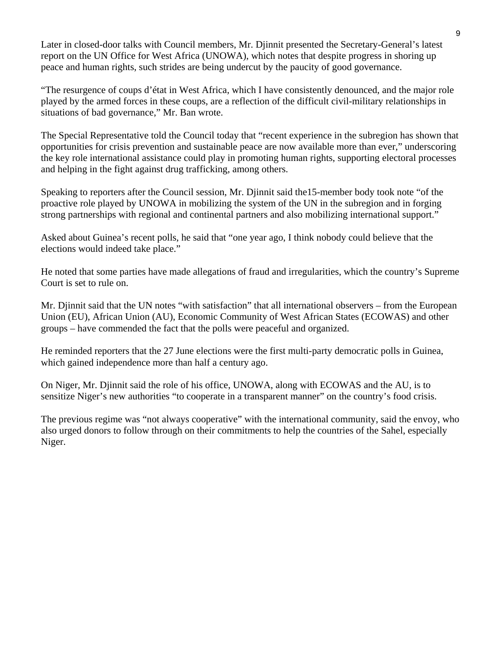Later in closed-door talks with Council members, Mr. Djinnit presented the Secretary-General's latest report on the UN Office for West Africa ([UNOWA\)](http://www.un.org/unowa/), which notes that despite progress in shoring up peace and human rights, such strides are being undercut by the paucity of good governance.

"The resurgence of coups d'état in West Africa, which I have consistently denounced, and the major role played by the armed forces in these coups, are a reflection of the difficult civil-military relationships in situations of bad governance," Mr. Ban wrote.

The Special Representative told the Council today that "recent experience in the subregion has shown that opportunities for crisis prevention and sustainable peace are now available more than ever," underscoring the key role international assistance could play in promoting human rights, supporting electoral processes and helping in the fight against drug trafficking, among others.

Speaking to reporters after the Council session, Mr. Djinnit said the15-member body took note "of the proactive role played by UNOWA in mobilizing the system of the UN in the subregion and in forging strong partnerships with regional and continental partners and also mobilizing international support."

Asked about Guinea's recent polls, he said that "one year ago, I think nobody could believe that the elections would indeed take place."

He noted that some parties have made allegations of fraud and irregularities, which the country's Supreme Court is set to rule on.

Mr. Djinnit said that the UN notes "with satisfaction" that all international observers – from the European Union (EU), African Union (AU), Economic Community of West African States (ECOWAS) and other groups – have commended the fact that the polls were peaceful and organized.

He reminded reporters that the 27 June elections were the first multi-party democratic polls in Guinea, which gained independence more than half a century ago.

On Niger, Mr. Djinnit said the role of his office, UNOWA, along with ECOWAS and the AU, is to sensitize Niger's new authorities "to cooperate in a transparent manner" on the country's food crisis.

The previous regime was "not always cooperative" with the international community, said the envoy, who also urged donors to follow through on their commitments to help the countries of the Sahel, especially Niger.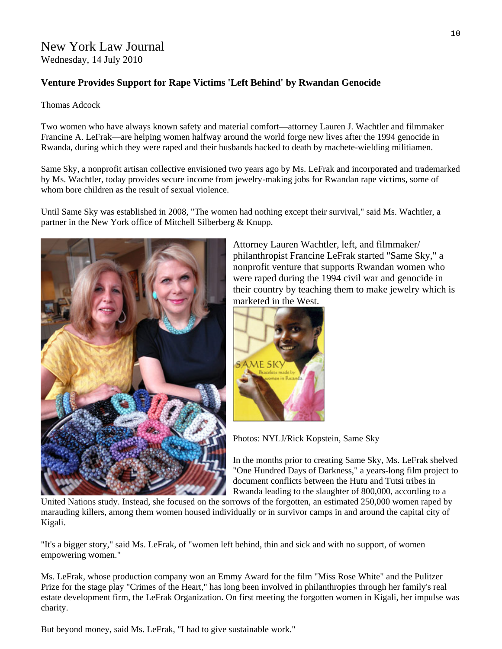# New York Law Journal

Wednesday, 14 July 2010

### **Venture Provides Support for Rape Victims 'Left Behind' by Rwandan Genocide**

Thomas Adcock

Two women who have always known safety and material comfort—attorney Lauren J. Wachtler and filmmaker Francine A. LeFrak—are helping women halfway around the world forge new lives after the 1994 genocide in Rwanda, during which they were raped and their husbands hacked to death by machete-wielding militiamen.

Same Sky, a nonprofit artisan collective envisioned two years ago by Ms. LeFrak and incorporated and trademarked by Ms. Wachtler, today provides secure income from jewelry-making jobs for Rwandan rape victims, some of whom bore children as the result of sexual violence.

Until Same Sky was established in 2008, "The women had nothing except their survival," said Ms. Wachtler, a partner in the New York office of Mitchell Silberberg & Knupp.



Attorney Lauren Wachtler, left, and filmmaker/ philanthropist Francine LeFrak started "Same Sky," a nonprofit venture that supports Rwandan women who were raped during the 1994 civil war and genocide in their country by teaching them to make jewelry which is marketed in the West.



Photos: NYLJ/Rick Kopstein, Same Sky

In the months prior to creating Same Sky, Ms. LeFrak shelved "One Hundred Days of Darkness," a years-long film project to document conflicts between the Hutu and Tutsi tribes in Rwanda leading to the slaughter of 800,000, according to a

United Nations study. Instead, she focused on the sorrows of the forgotten, an estimated 250,000 women raped by marauding killers, among them women housed individually or in survivor camps in and around the capital city of Kigali.

"It's a bigger story," said Ms. LeFrak, of "women left behind, thin and sick and with no support, of women empowering women."

Ms. LeFrak, whose production company won an Emmy Award for the film "Miss Rose White" and the Pulitzer Prize for the stage play "Crimes of the Heart," has long been involved in philanthropies through her family's real estate development firm, the LeFrak Organization. On first meeting the forgotten women in Kigali, her impulse was charity.

10

But beyond money, said Ms. LeFrak, "I had to give sustainable work."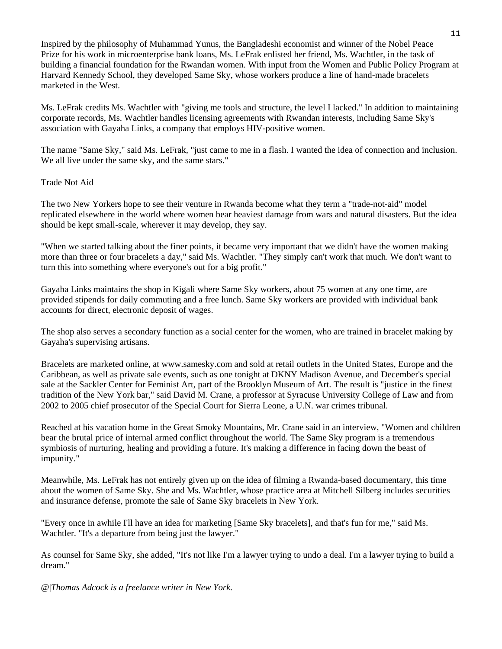Inspired by the philosophy of Muhammad Yunus, the Bangladeshi economist and winner of the Nobel Peace Prize for his work in microenterprise bank loans, Ms. LeFrak enlisted her friend, Ms. Wachtler, in the task of building a financial foundation for the Rwandan women. With input from the Women and Public Policy Program at Harvard Kennedy School, they developed Same Sky, whose workers produce a line of hand-made bracelets marketed in the West.

Ms. LeFrak credits Ms. Wachtler with "giving me tools and structure, the level I lacked." In addition to maintaining corporate records, Ms. Wachtler handles licensing agreements with Rwandan interests, including Same Sky's association with Gayaha Links, a company that employs HIV-positive women.

The name "Same Sky," said Ms. LeFrak, "just came to me in a flash. I wanted the idea of connection and inclusion. We all live under the same sky, and the same stars."

#### Trade Not Aid

The two New Yorkers hope to see their venture in Rwanda become what they term a "trade-not-aid" model replicated elsewhere in the world where women bear heaviest damage from wars and natural disasters. But the idea should be kept small-scale, wherever it may develop, they say.

"When we started talking about the finer points, it became very important that we didn't have the women making more than three or four bracelets a day," said Ms. Wachtler. "They simply can't work that much. We don't want to turn this into something where everyone's out for a big profit."

Gayaha Links maintains the shop in Kigali where Same Sky workers, about 75 women at any one time, are provided stipends for daily commuting and a free lunch. Same Sky workers are provided with individual bank accounts for direct, electronic deposit of wages.

The shop also serves a secondary function as a social center for the women, who are trained in bracelet making by Gayaha's supervising artisans.

Bracelets are marketed online, at [www.samesky.com](http://www.samesky.com/) and sold at retail outlets in the United States, Europe and the Caribbean, as well as private sale events, such as one tonight at DKNY Madison Avenue, and December's special sale at the Sackler Center for Feminist Art, part of the Brooklyn Museum of Art. The result is "justice in the finest tradition of the New York bar," said David M. Crane, a professor at Syracuse University College of Law and from 2002 to 2005 chief prosecutor of the Special Court for Sierra Leone, a U.N. war crimes tribunal.

Reached at his vacation home in the Great Smoky Mountains, Mr. Crane said in an interview, "Women and children bear the brutal price of internal armed conflict throughout the world. The Same Sky program is a tremendous symbiosis of nurturing, healing and providing a future. It's making a difference in facing down the beast of impunity."

Meanwhile, Ms. LeFrak has not entirely given up on the idea of filming a Rwanda-based documentary, this time about the women of Same Sky. She and Ms. Wachtler, whose practice area at Mitchell Silberg includes securities and insurance defense, promote the sale of Same Sky bracelets in New York.

"Every once in awhile I'll have an idea for marketing [Same Sky bracelets], and that's fun for me," said Ms. Wachtler. "It's a departure from being just the lawyer."

As counsel for Same Sky, she added, "It's not like I'm a lawyer trying to undo a deal. I'm a lawyer trying to build a dream."

@|*Thomas Adcock is a freelance writer in New York.*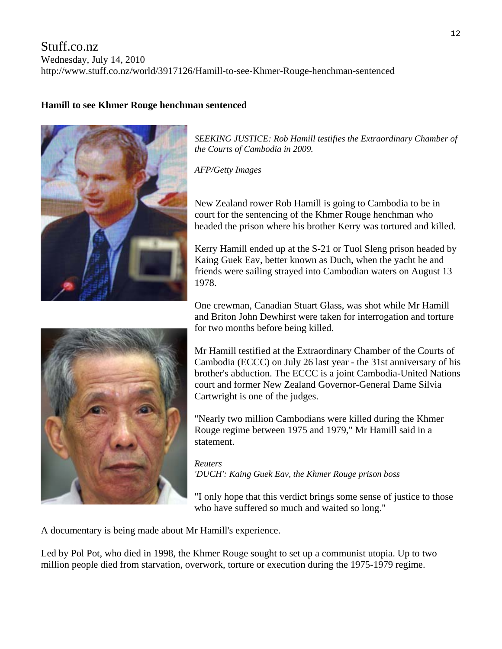### Stuff.co.nz

Wednesday, July 14, 2010

http://www.stuff.co.nz/world/3917126/Hamill-to-see-Khmer-Rouge-henchman-sentenced

### **Hamill to see Khmer Rouge henchman sentenced**



*SEEKING JUSTICE: Rob Hamill testifies the Extraordinary Chamber of the Courts of Cambodia in 2009.* 

*AFP/Getty Images* 

New Zealand rower Rob Hamill is going to Cambodia to be in court for the sentencing of the Khmer Rouge henchman who headed the prison where his brother Kerry was tortured and killed.

Kerry Hamill ended up at the S-21 or Tuol Sleng prison headed by Kaing Guek Eav, better known as Duch, when the yacht he and friends were sailing strayed into Cambodian waters on August 13 1978.

One crewman, Canadian Stuart Glass, was shot while Mr Hamill and Briton John Dewhirst were taken for interrogation and torture for two months before being killed.

Cambodia (ECCC) on July 26 last year - the 31st anniversary of his brother's abduction. The ECCC is a joint Cambodia-United Nations Mr Hamill testified at the Extraordinary Chamber of the Courts of court and former New Zealand Governor-General Dame Silvia Cartwright is one of the judges.

"Nearly two million Cambodians were killed during the Khmer Rouge regime between 1975 and 1979," Mr Hamill said in a statement.

*Reuters 'DUCH': Kaing Guek Eav, the Khmer Rouge prison boss* 

"I only hope that this verdict brings some sense of justice to those who have suffered so much and waited so long."

A documentary is being made about Mr Hamill's experience.

Led by Pol Pot, who died in 1998, the Khmer Rouge sought to set up a communist utopia. Up to two million people died from starvation, overwork, torture or execution during the 1975-1979 regime.

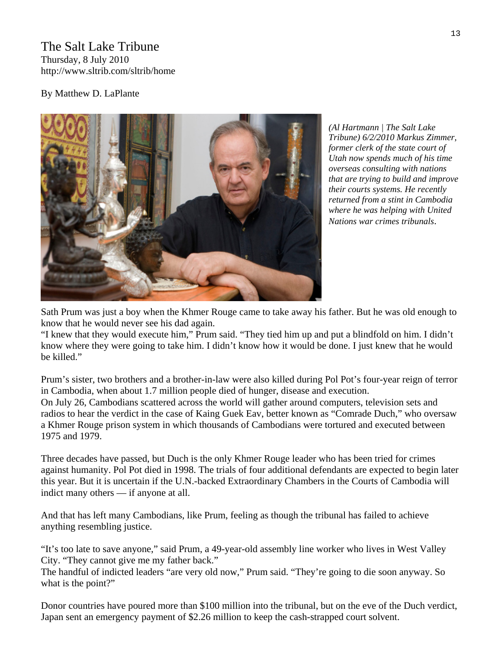### The Salt Lake Tribune Thursday, 8 July 2010 http://www.sltrib.com/sltrib/home

### By Matthew D. LaPlante



*(Al Hartmann | The Salt Lake Tribune) 6/2/2010 Markus Zimmer, former clerk of the state court of Utah now spends much of his time overseas consulting with nations that are trying to build and improve their courts systems. He recently returned from a stint in Cambodia where he was helping with United Nations war crimes tribunals*.

Sath Prum was just a boy when the Khmer Rouge came to take away his father. But he was old enough to know that he would never see his dad again.

"I knew that they would execute him," Prum said. "They tied him up and put a blindfold on him. I didn't know where they were going to take him. I didn't know how it would be done. I just knew that he would be killed."

Prum's sister, two brothers and a brother-in-law were also killed during Pol Pot's four-year reign of terror in Cambodia, when about 1.7 million people died of hunger, disease and execution. On July 26, Cambodians scattered across the world will gather around computers, television sets and radios to hear the verdict in the case of Kaing Guek Eav, better known as "Comrade Duch," who oversaw a Khmer Rouge prison system in which thousands of Cambodians were tortured and executed between 1975 and 1979.

Three decades have passed, but Duch is the only Khmer Rouge leader who has been tried for crimes against humanity. Pol Pot died in 1998. The trials of four additional defendants are expected to begin later this year. But it is uncertain if the U.N.-backed Extraordinary Chambers in the Courts of Cambodia will indict many others — if anyone at all.

And that has left many Cambodians, like Prum, feeling as though the tribunal has failed to achieve anything resembling justice.

"It's too late to save anyone," said Prum, a 49-year-old assembly line worker who lives in West Valley City. "They cannot give me my father back."

The handful of indicted leaders "are very old now," Prum said. "They're going to die soon anyway. So what is the point?"

Donor countries have poured more than \$100 million into the tribunal, but on the eve of the Duch verdict, Japan sent an emergency payment of \$2.26 million to keep the cash-strapped court solvent.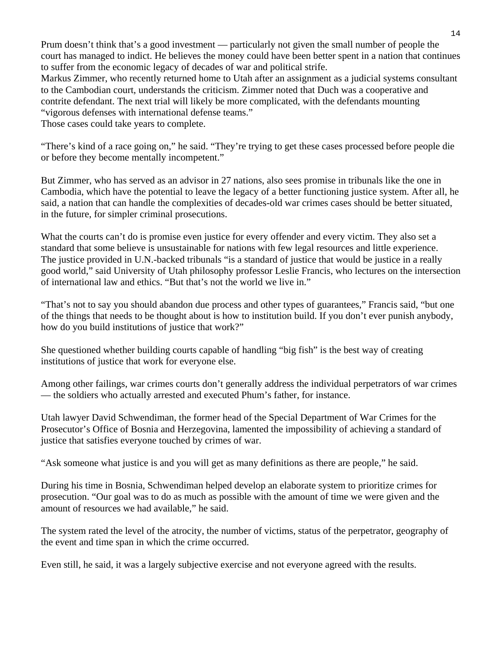Prum doesn't think that's a good investment — particularly not given the small number of people the court has managed to indict. He believes the money could have been better spent in a nation that continues to suffer from the economic legacy of decades of war and political strife.

Markus Zimmer, who recently returned home to Utah after an assignment as a judicial systems consultant to the Cambodian court, understands the criticism. Zimmer noted that Duch was a cooperative and contrite defendant. The next trial will likely be more complicated, with the defendants mounting "vigorous defenses with international defense teams."

Those cases could take years to complete.

"There's kind of a race going on," he said. "They're trying to get these cases processed before people die or before they become mentally incompetent."

But Zimmer, who has served as an advisor in 27 nations, also sees promise in tribunals like the one in Cambodia, which have the potential to leave the legacy of a better functioning justice system. After all, he said, a nation that can handle the complexities of decades-old war crimes cases should be better situated, in the future, for simpler criminal prosecutions.

What the courts can't do is promise even justice for every offender and every victim. They also set a standard that some believe is unsustainable for nations with few legal resources and little experience. The justice provided in U.N.-backed tribunals "is a standard of justice that would be justice in a really good world," said University of Utah philosophy professor Leslie Francis, who lectures on the intersection of international law and ethics. "But that's not the world we live in."

"That's not to say you should abandon due process and other types of guarantees," Francis said, "but one of the things that needs to be thought about is how to institution build. If you don't ever punish anybody, how do you build institutions of justice that work?"

She questioned whether building courts capable of handling "big fish" is the best way of creating institutions of justice that work for everyone else.

Among other failings, war crimes courts don't generally address the individual perpetrators of war crimes — the soldiers who actually arrested and executed Phum's father, for instance.

Utah lawyer David Schwendiman, the former head of the Special Department of War Crimes for the Prosecutor's Office of Bosnia and Herzegovina, lamented the impossibility of achieving a standard of justice that satisfies everyone touched by crimes of war.

"Ask someone what justice is and you will get as many definitions as there are people," he said.

During his time in Bosnia, Schwendiman helped develop an elaborate system to prioritize crimes for prosecution. "Our goal was to do as much as possible with the amount of time we were given and the amount of resources we had available," he said.

The system rated the level of the atrocity, the number of victims, status of the perpetrator, geography of the event and time span in which the crime occurred.

Even still, he said, it was a largely subjective exercise and not everyone agreed with the results.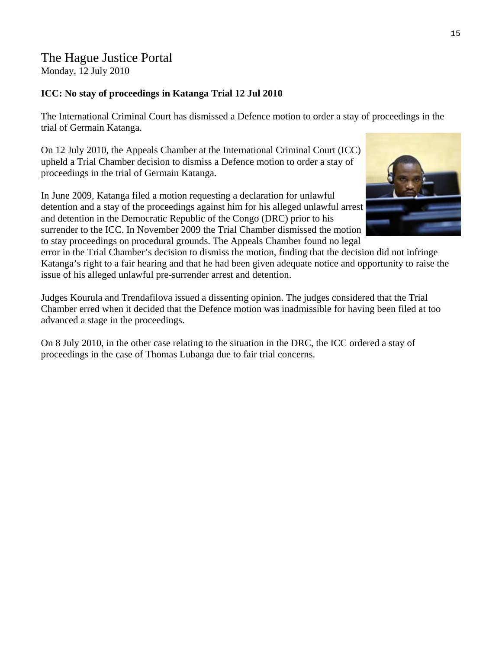### The Hague Justice Portal Monday, 12 July 2010

### **ICC: No stay of proceedings in Katanga Trial 12 Jul 2010**

The International Criminal Court has dismissed a Defence motion to order a stay of proceedings in the trial of Germain Katanga.

On 12 July 2010, the Appeals Chamber at the International Criminal Court (ICC) upheld a Trial Chamber decision to dismiss a Defence motion to order a stay of proceedings in the trial of [Germain Katanga](http://www.haguejusticeportal.net/eCache/DEF/8/360.html).

In June 2009, Katanga filed a motion requesting a declaration for unlawful detention and a stay of the proceedings against him for his alleged unlawful arrest and detention in the Democratic Republic of the Congo (DRC) prior to his surrender to the ICC. In November 2009 the Trial Chamber dismissed the motion to stay proceedings on procedural grounds. The Appeals Chamber found no legal



error in the Trial Chamber's decision to dismiss the motion, finding that the decision did not infringe Katanga's right to a fair hearing and that he had been given adequate notice and opportunity to raise the issue of his alleged unlawful pre-surrender arrest and detention.

Judges Kourula and Trendafilova issued a dissenting opinion. The judges considered that the Trial Chamber erred when it decided that the Defence motion was inadmissible for having been filed at too advanced a stage in the proceedings.

On 8 July 2010, in the other case relating to the situation in the DRC, the ICC [ordered a stay of](http://www.haguejusticeportal.net/eCache/DEF/11/862.html)  [proceedings](http://www.haguejusticeportal.net/eCache/DEF/11/862.html) in the case of [Thomas Lubanga](http://www.haguejusticeportal.net/eCache/DEF/8/156.html) due to fair trial concerns.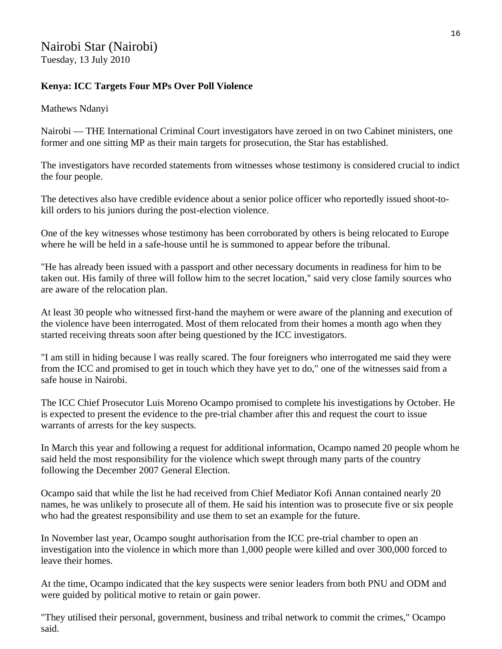# Nairobi Star (Nairobi)

Tuesday, 13 July 2010

### **Kenya: ICC Targets Four MPs Over Poll Violence**

Mathews Ndanyi

Nairobi — THE International Criminal Court investigators have zeroed in on two Cabinet ministers, one former and one sitting MP as their main targets for prosecution, the Star has established.

The investigators have recorded statements from witnesses whose testimony is considered crucial to indict the four people.

The detectives also have credible evidence about a senior police officer who reportedly issued shoot-tokill orders to his juniors during the post-election violence.

One of the key witnesses whose testimony has been corroborated by others is being relocated to Europe where he will be held in a safe-house until he is summoned to appear before the tribunal.

"He has already been issued with a passport and other necessary documents in readiness for him to be taken out. His family of three will follow him to the secret location," said very close family sources who are aware of the relocation plan.

At least 30 people who witnessed first-hand the mayhem or were aware of the planning and execution of the violence have been interrogated. Most of them relocated from their homes a month ago when they started receiving threats soon after being questioned by the ICC investigators.

"I am still in hiding because l was really scared. The four foreigners who interrogated me said they were from the ICC and promised to get in touch which they have yet to do," one of the witnesses said from a safe house in Nairobi.

The ICC Chief Prosecutor Luis Moreno Ocampo promised to complete his investigations by October. He is expected to present the evidence to the pre-trial chamber after this and request the court to issue warrants of arrests for the key suspects.

In March this year and following a request for additional information, Ocampo named 20 people whom he said held the most responsibility for the violence which swept through many parts of the country following the December 2007 General Election.

Ocampo said that while the list he had received from Chief Mediator Kofi Annan contained nearly 20 names, he was unlikely to prosecute all of them. He said his intention was to prosecute five or six people who had the greatest responsibility and use them to set an example for the future.

In November last year, Ocampo sought authorisation from the ICC pre-trial chamber to open an investigation into the violence in which more than 1,000 people were killed and over 300,000 forced to leave their homes.

At the time, Ocampo indicated that the key suspects were senior leaders from both PNU and ODM and were guided by political motive to retain or gain power.

"They utilised their personal, government, business and tribal network to commit the crimes," Ocampo said.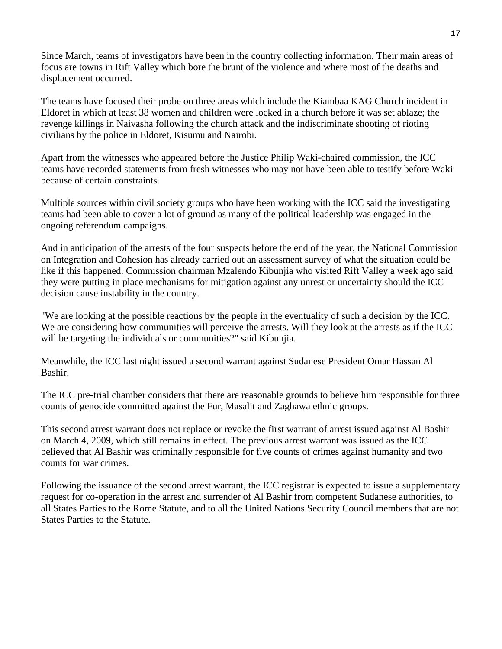Since March, teams of investigators have been in the country collecting information. Their main areas of focus are towns in Rift Valley which bore the brunt of the violence and where most of the deaths and displacement occurred.

The teams have focused their probe on three areas which include the Kiambaa KAG Church incident in Eldoret in which at least 38 women and children were locked in a church before it was set ablaze; the revenge killings in Naivasha following the church attack and the indiscriminate shooting of rioting civilians by the police in Eldoret, Kisumu and Nairobi.

Apart from the witnesses who appeared before the Justice Philip Waki-chaired commission, the ICC teams have recorded statements from fresh witnesses who may not have been able to testify before Waki because of certain constraints.

Multiple sources within civil society groups who have been working with the ICC said the investigating teams had been able to cover a lot of ground as many of the political leadership was engaged in the ongoing referendum campaigns.

And in anticipation of the arrests of the four suspects before the end of the year, the National Commission on Integration and Cohesion has already carried out an assessment survey of what the situation could be like if this happened. Commission chairman Mzalendo Kibunjia who visited Rift Valley a week ago said they were putting in place mechanisms for mitigation against any unrest or uncertainty should the ICC decision cause instability in the country.

"We are looking at the possible reactions by the people in the eventuality of such a decision by the ICC. We are considering how communities will perceive the arrests. Will they look at the arrests as if the ICC will be targeting the individuals or communities?" said Kibunjia.

Meanwhile, the ICC last night issued a second warrant against Sudanese President Omar Hassan Al Bashir.

The ICC pre-trial chamber considers that there are reasonable grounds to believe him responsible for three counts of genocide committed against the Fur, Masalit and Zaghawa ethnic groups.

This second arrest warrant does not replace or revoke the first warrant of arrest issued against Al Bashir on March 4, 2009, which still remains in effect. The previous arrest warrant was issued as the ICC believed that Al Bashir was criminally responsible for five counts of crimes against humanity and two counts for war crimes.

Following the issuance of the second arrest warrant, the ICC registrar is expected to issue a supplementary request for co-operation in the arrest and surrender of Al Bashir from competent Sudanese authorities, to all States Parties to the Rome Statute, and to all the United Nations Security Council members that are not States Parties to the Statute.